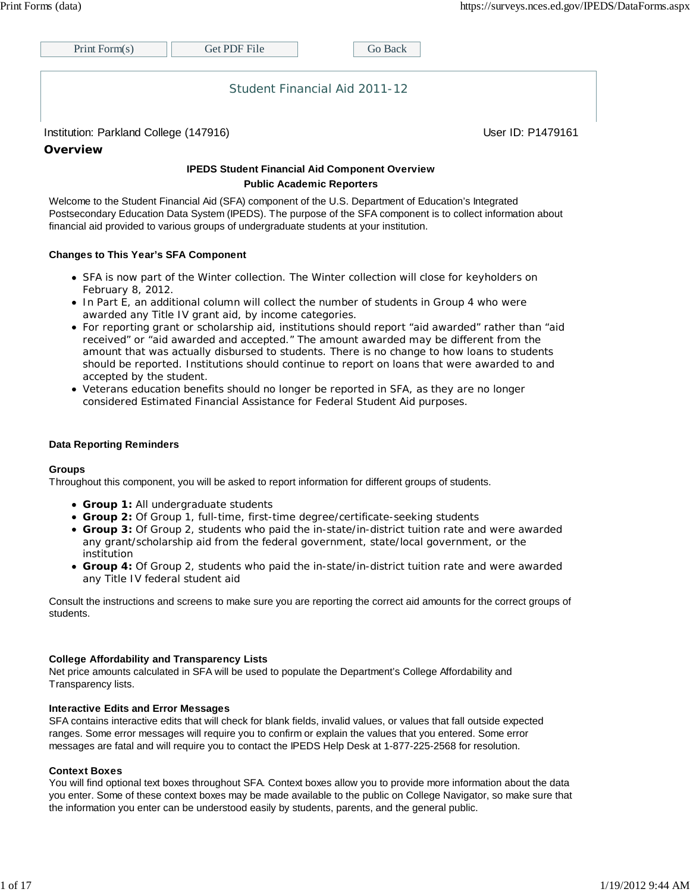| Print Form $(s)$                                   | Get PDF File | Go Back                       |                   |
|----------------------------------------------------|--------------|-------------------------------|-------------------|
|                                                    |              | Student Financial Aid 2011-12 |                   |
| Institution: Parkland College (147916)<br>Overview |              |                               | User ID: P1479161 |

#### **IPEDS Student Financial Aid Component Overview Public Academic Reporters**

Welcome to the Student Financial Aid (SFA) component of the U.S. Department of Education's Integrated Postsecondary Education Data System (IPEDS). The purpose of the SFA component is to collect information about financial aid provided to various groups of undergraduate students at your institution.

#### **Changes to This Year's SFA Component**

- SFA is now part of the Winter collection. The Winter collection will close for keyholders on February 8, 2012.
- In Part E, an additional column will collect the number of students in Group 4 who were awarded any Title IV grant aid, by income categories.
- For reporting grant or scholarship aid, institutions should report "aid awarded" rather than "aid received" or "aid awarded and accepted." The amount awarded may be different from the amount that was actually disbursed to students. There is no change to how loans to students should be reported. Institutions should continue to report on loans that were awarded to and accepted by the student.
- Veterans education benefits should no longer be reported in SFA, as they are no longer considered Estimated Financial Assistance for Federal Student Aid purposes.

#### **Data Reporting Reminders**

#### **Groups**

Throughout this component, you will be asked to report information for different groups of students.

- **Group 1:** All undergraduate students
- **Group 2:** Of Group 1, full-time, first-time degree/certificate-seeking students
- **Group 3:** Of Group 2, students who paid the in-state/in-district tuition rate and were awarded any grant/scholarship aid from the federal government, state/local government, or the institution
- **Group 4:** Of Group 2, students who paid the in-state/in-district tuition rate and were awarded any Title IV federal student aid

Consult the instructions and screens to make sure you are reporting the correct aid amounts for the correct groups of students.

#### **College Affordability and Transparency Lists**

Net price amounts calculated in SFA will be used to populate the Department's College Affordability and Transparency lists.

#### **Interactive Edits and Error Messages**

SFA contains interactive edits that will check for blank fields, invalid values, or values that fall outside expected ranges. Some error messages will require you to confirm or explain the values that you entered. Some error messages are fatal and will require you to contact the IPEDS Help Desk at 1-877-225-2568 for resolution.

#### **Context Boxes**

You will find optional text boxes throughout SFA. Context boxes allow you to provide more information about the data you enter. Some of these context boxes may be made available to the public on College Navigator, so make sure that the information you enter can be understood easily by students, parents, and the general public.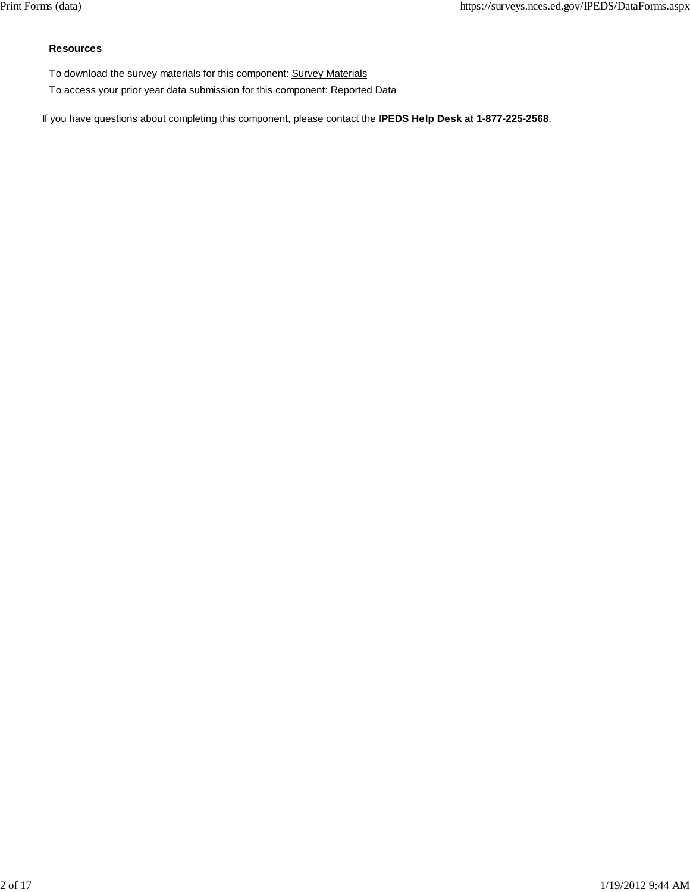#### **Resources**

- To download the survey materials for this component: Survey Materials
- To access your prior year data submission for this component: Reported Data

If you have questions about completing this component, please contact the **IPEDS Help Desk at 1-877-225-2568**.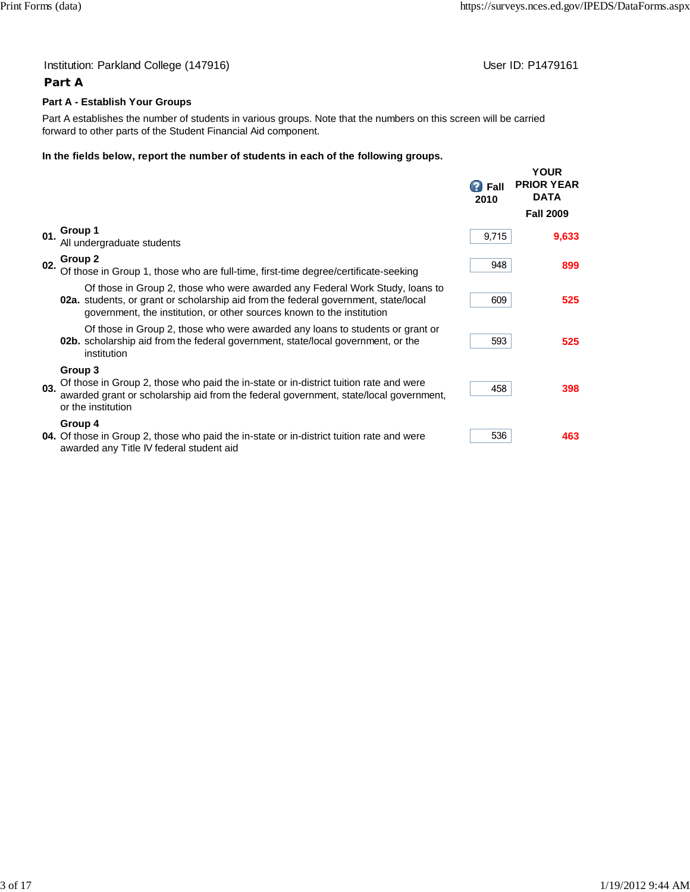### Institution: Parkland College (147916) **Institution: Parkland College (147916**)

## **Part A**

#### **Part A - Establish Your Groups**

Part A establishes the number of students in various groups. Note that the numbers on this screen will be carried forward to other parts of the Student Financial Aid component.

#### **In the fields below, report the number of students in each of the following groups.**

|     |                                                                                                                                                                                                      | <b>P</b> Fall<br>2010 | <b>YOUR</b><br><b>PRIOR YEAR</b><br><b>DATA</b><br><b>Fall 2009</b> |
|-----|------------------------------------------------------------------------------------------------------------------------------------------------------------------------------------------------------|-----------------------|---------------------------------------------------------------------|
|     |                                                                                                                                                                                                      |                       |                                                                     |
| 01. | Group 1<br>All undergraduate students                                                                                                                                                                | 9,715                 | 9,633                                                               |
| 02. | Group 2<br>Of those in Group 1, those who are full-time, first-time degree/certificate-seeking                                                                                                       | 948                   | 899                                                                 |
|     | Of those in Group 2, those who were awarded any Federal Work Study, loans to                                                                                                                         |                       |                                                                     |
|     | <b>02a.</b> students, or grant or scholarship aid from the federal government, state/local<br>government, the institution, or other sources known to the institution                                 | 609                   | 525                                                                 |
|     | Of those in Group 2, those who were awarded any loans to students or grant or                                                                                                                        |                       |                                                                     |
|     | 02b. scholarship aid from the federal government, state/local government, or the<br>institution                                                                                                      | 593                   | 525                                                                 |
|     | Group 3                                                                                                                                                                                              |                       |                                                                     |
| 03. | Of those in Group 2, those who paid the in-state or in-district tuition rate and were<br>awarded grant or scholarship aid from the federal government, state/local government,<br>or the institution | 458                   | 398                                                                 |
|     |                                                                                                                                                                                                      |                       |                                                                     |
|     | Group 4<br>04. Of those in Group 2, those who paid the in-state or in-district tuition rate and were<br>awarded any Title IV federal student aid                                                     | 536                   | 463                                                                 |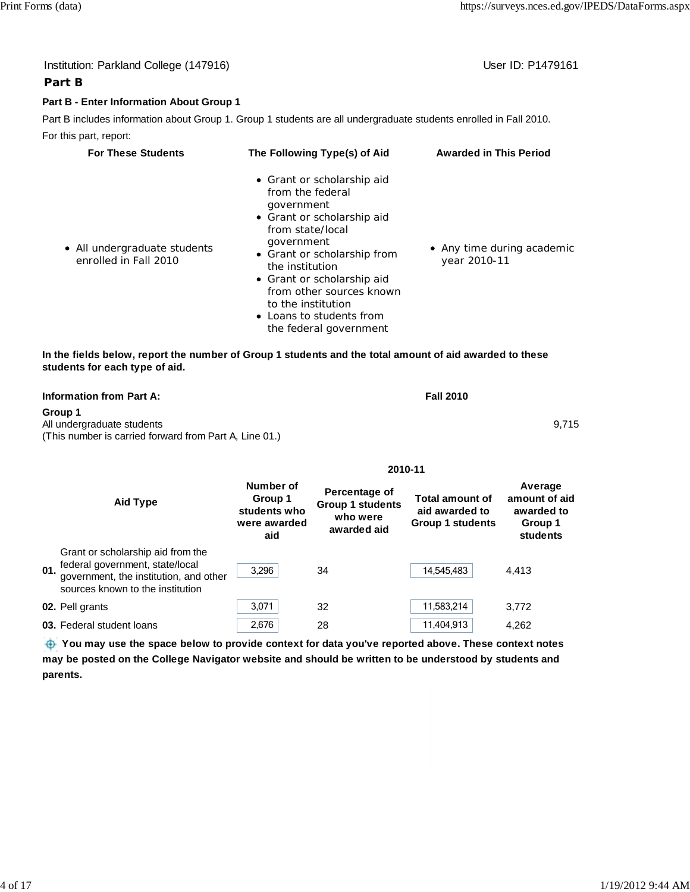|     | Institution: Parkland College (147916)                                                                                                             |                                                                                                                                                                                                                                                                                                                                                                    |                                                                     |                                                              | User ID: P1479161                                             |
|-----|----------------------------------------------------------------------------------------------------------------------------------------------------|--------------------------------------------------------------------------------------------------------------------------------------------------------------------------------------------------------------------------------------------------------------------------------------------------------------------------------------------------------------------|---------------------------------------------------------------------|--------------------------------------------------------------|---------------------------------------------------------------|
|     | Part B                                                                                                                                             |                                                                                                                                                                                                                                                                                                                                                                    |                                                                     |                                                              |                                                               |
|     | Part B - Enter Information About Group 1                                                                                                           |                                                                                                                                                                                                                                                                                                                                                                    |                                                                     |                                                              |                                                               |
|     | Part B includes information about Group 1. Group 1 students are all undergraduate students enrolled in Fall 2010.                                  |                                                                                                                                                                                                                                                                                                                                                                    |                                                                     |                                                              |                                                               |
|     | For this part, report:                                                                                                                             |                                                                                                                                                                                                                                                                                                                                                                    |                                                                     |                                                              |                                                               |
|     | <b>For These Students</b>                                                                                                                          |                                                                                                                                                                                                                                                                                                                                                                    | The Following Type(s) of Aid                                        | <b>Awarded in This Period</b>                                |                                                               |
|     | • All undergraduate students<br>enrolled in Fall 2010                                                                                              | • Grant or scholarship aid<br>from the federal<br>government<br>• Grant or scholarship aid<br>from state/local<br>government<br>• Any time during academic<br>• Grant or scholarship from<br>year 2010-11<br>the institution<br>• Grant or scholarship aid<br>from other sources known<br>to the institution<br>• Loans to students from<br>the federal government |                                                                     |                                                              |                                                               |
|     | In the fields below, report the number of Group 1 students and the total amount of aid awarded to these<br>students for each type of aid.          |                                                                                                                                                                                                                                                                                                                                                                    |                                                                     |                                                              |                                                               |
|     | <b>Information from Part A:</b>                                                                                                                    |                                                                                                                                                                                                                                                                                                                                                                    |                                                                     | <b>Fall 2010</b>                                             |                                                               |
|     | Group 1<br>All undergraduate students<br>(This number is carried forward from Part A, Line 01.)                                                    |                                                                                                                                                                                                                                                                                                                                                                    |                                                                     |                                                              | 9,715                                                         |
|     |                                                                                                                                                    |                                                                                                                                                                                                                                                                                                                                                                    |                                                                     | 2010-11                                                      |                                                               |
|     | <b>Aid Type</b>                                                                                                                                    | Number of<br>Group 1<br>students who<br>were awarded<br>aid                                                                                                                                                                                                                                                                                                        | Percentage of<br><b>Group 1 students</b><br>who were<br>awarded aid | <b>Total amount of</b><br>aid awarded to<br>Group 1 students | Average<br>amount of aid<br>awarded to<br>Group 1<br>students |
| 01. | Grant or scholarship aid from the<br>federal government, state/local<br>government, the institution, and other<br>sources known to the institution | 3,296                                                                                                                                                                                                                                                                                                                                                              | 34                                                                  | 14,545,483                                                   | 4,413                                                         |
|     | 02. Pell grants                                                                                                                                    | 3,071                                                                                                                                                                                                                                                                                                                                                              | 32                                                                  | 11,583,214                                                   | 3,772                                                         |
|     | 03. Federal student loans                                                                                                                          | 2,676                                                                                                                                                                                                                                                                                                                                                              | 28                                                                  | 11,404,913                                                   | 4,262                                                         |

You may use the space below to provide context for data you've reported above. These context notes **may be posted on the College Navigator website and should be written to be understood by students and parents.**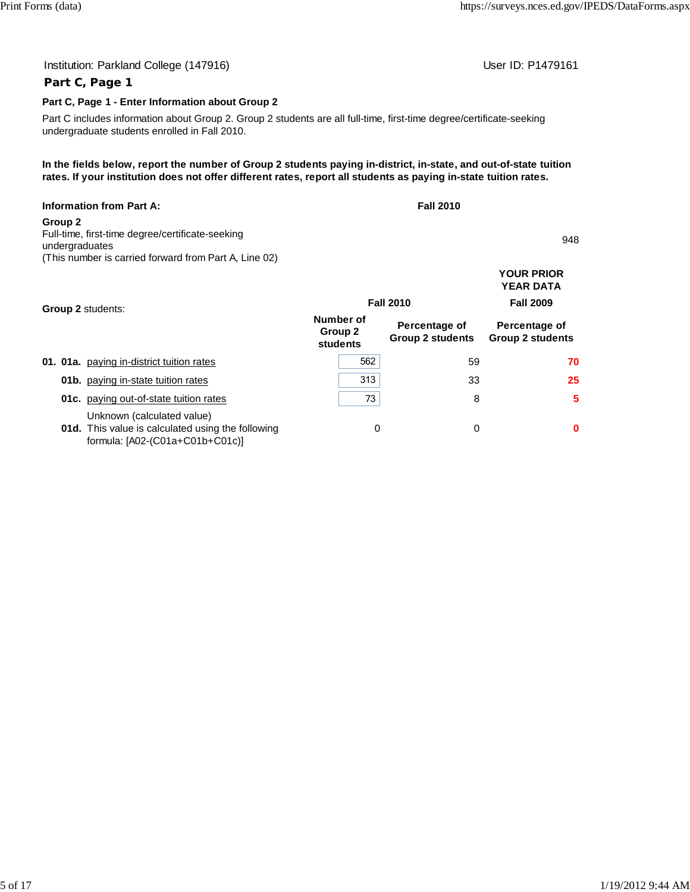# Institution: Parkland College (147916) **Institution: Parkland College (147916**)

### **Part C, Page 1 - Enter Information about Group 2**

Part C includes information about Group 2. Group 2 students are all full-time, first-time degree/certificate-seeking undergraduate students enrolled in Fall 2010.

**In the fields below, report the number of Group 2 students paying in-district, in-state, and out-of-state tuition rates. If your institution does not offer different rates, report all students as paying in-state tuition rates.**

| <b>Information from Part A:</b>                                    | <b>Fall 2010</b> |                   |
|--------------------------------------------------------------------|------------------|-------------------|
| Group 2                                                            |                  |                   |
| Full-time, first-time degree/certificate-seeking<br>undergraduates |                  | 948               |
| (This number is carried forward from Part A, Line 02)              |                  |                   |
|                                                                    |                  | <b>YOUR PRIOR</b> |
|                                                                    |                  | <b>YEAR DATA</b>  |

| <b>Group 2 students:</b>                                                                                                  | <b>Fall 2010</b>                 | <b>Fall 2009</b>                         |                                          |  |
|---------------------------------------------------------------------------------------------------------------------------|----------------------------------|------------------------------------------|------------------------------------------|--|
|                                                                                                                           | Number of<br>Group 2<br>students | Percentage of<br><b>Group 2 students</b> | Percentage of<br><b>Group 2 students</b> |  |
| 01. 01a. paying in-district tuition rates                                                                                 | 562                              | 59                                       | 70                                       |  |
| <b>01b.</b> paying in-state tuition rates                                                                                 | 313                              | 33                                       | 25                                       |  |
| <b>01c.</b> paying out-of-state tuition rates                                                                             | 73                               | 8                                        | 5                                        |  |
| Unknown (calculated value)<br><b>01d.</b> This value is calculated using the following<br>formula: [A02-(C01a+C01b+C01c)] | 0                                | 0                                        | 0                                        |  |

**Part C, Page 1**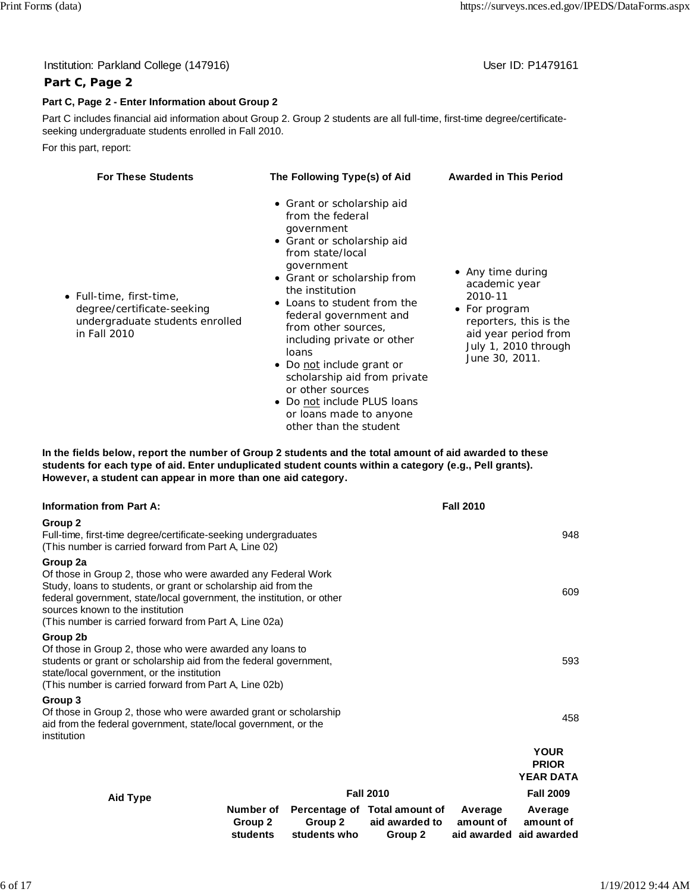| Institution: Parkland College (147916)                                                                                                                                               |                                                                                                                                                                                                                                                                                                                                                                  | User ID: P1479161                                                                                                                                          |
|--------------------------------------------------------------------------------------------------------------------------------------------------------------------------------------|------------------------------------------------------------------------------------------------------------------------------------------------------------------------------------------------------------------------------------------------------------------------------------------------------------------------------------------------------------------|------------------------------------------------------------------------------------------------------------------------------------------------------------|
| Part C, Page 2                                                                                                                                                                       |                                                                                                                                                                                                                                                                                                                                                                  |                                                                                                                                                            |
| Part C, Page 2 - Enter Information about Group 2                                                                                                                                     |                                                                                                                                                                                                                                                                                                                                                                  |                                                                                                                                                            |
| Part C includes financial aid information about Group 2. Group 2 students are all full-time, first-time degree/certificate-<br>seeking undergraduate students enrolled in Fall 2010. |                                                                                                                                                                                                                                                                                                                                                                  |                                                                                                                                                            |
| For this part, report:                                                                                                                                                               |                                                                                                                                                                                                                                                                                                                                                                  |                                                                                                                                                            |
| <b>For These Students</b>                                                                                                                                                            | The Following Type(s) of Aid                                                                                                                                                                                                                                                                                                                                     | <b>Awarded in This Period</b>                                                                                                                              |
| • Full-time, first-time,<br>degree/certificate-seeking<br>undergraduate students enrolled<br>in Fall 2010                                                                            | • Grant or scholarship aid<br>from the federal<br>government<br>• Grant or scholarship aid<br>from state/local<br>government<br>• Grant or scholarship from<br>the institution<br>• Loans to student from the<br>federal government and<br>from other sources,<br>including private or other<br>loans<br>Do not include grant or<br>scholarship aid from private | • Any time during<br>academic year<br>2010-11<br>• For program<br>reporters, this is the<br>aid year period from<br>July 1, 2010 through<br>June 30, 2011. |

**In the fields below, report the number of Group 2 students and the total amount of aid awarded to these students for each type of aid. Enter unduplicated student counts within a category (e.g., Pell grants). However, a student can appear in more than one aid category.**

or other sources

• Do not include PLUS loans or loans made to anyone other than the student

| <b>Information from Part A:</b>                                                                                                                                                                                                                                                                                   |                                  |                         |                                                            | <b>Fall 2010</b>     |                                                 |
|-------------------------------------------------------------------------------------------------------------------------------------------------------------------------------------------------------------------------------------------------------------------------------------------------------------------|----------------------------------|-------------------------|------------------------------------------------------------|----------------------|-------------------------------------------------|
| Group 2<br>Full-time, first-time degree/certificate-seeking undergraduates<br>(This number is carried forward from Part A, Line 02)                                                                                                                                                                               |                                  |                         |                                                            |                      | 948                                             |
| Group 2a<br>Of those in Group 2, those who were awarded any Federal Work<br>Study, loans to students, or grant or scholarship aid from the<br>federal government, state/local government, the institution, or other<br>sources known to the institution<br>(This number is carried forward from Part A, Line 02a) |                                  |                         |                                                            |                      | 609                                             |
| Group 2b<br>Of those in Group 2, those who were awarded any loans to<br>students or grant or scholarship aid from the federal government,<br>state/local government, or the institution<br>(This number is carried forward from Part A, Line 02b)                                                                 |                                  |                         |                                                            |                      | 593                                             |
| Group 3<br>Of those in Group 2, those who were awarded grant or scholarship<br>aid from the federal government, state/local government, or the<br>institution                                                                                                                                                     |                                  |                         |                                                            |                      | 458                                             |
|                                                                                                                                                                                                                                                                                                                   |                                  |                         |                                                            |                      | <b>YOUR</b><br><b>PRIOR</b><br><b>YEAR DATA</b> |
| Aid Type                                                                                                                                                                                                                                                                                                          |                                  |                         | <b>Fall 2010</b>                                           |                      | <b>Fall 2009</b>                                |
|                                                                                                                                                                                                                                                                                                                   | Number of<br>Group 2<br>students | Group 2<br>students who | Percentage of Total amount of<br>aid awarded to<br>Group 2 | Average<br>amount of | Average<br>amount of<br>aid awarded aid awarded |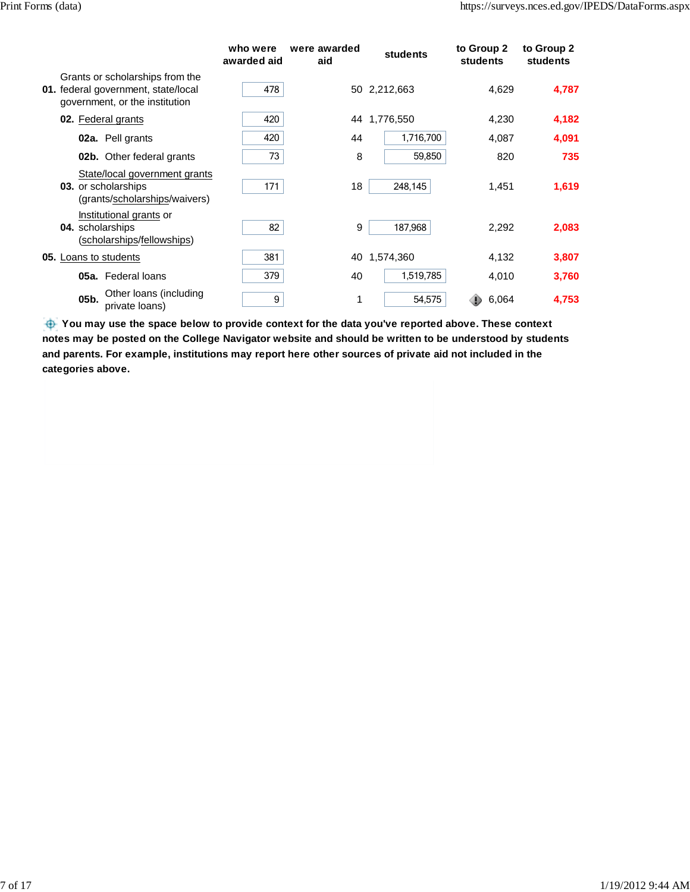|                                                                                                          | who were<br>awarded aid | were awarded<br>aid | students     | to Group 2<br>students | to Group 2<br>students |
|----------------------------------------------------------------------------------------------------------|-------------------------|---------------------|--------------|------------------------|------------------------|
| Grants or scholarships from the<br>01. federal government, state/local<br>government, or the institution | 478                     |                     | 50 2,212,663 | 4,629                  | 4,787                  |
| 02. Federal grants                                                                                       | 420                     |                     | 44 1,776,550 | 4,230                  | 4,182                  |
| 02a. Pell grants                                                                                         | 420                     | 44                  | 1,716,700    | 4,087                  | 4,091                  |
| <b>02b.</b> Other federal grants                                                                         | 73                      | 8                   | 59,850       | 820                    | 735                    |
| State/local government grants<br>03. or scholarships<br>(grants/scholarships/waivers)                    | 171                     | 18                  | 248,145      | 1,451                  | 1,619                  |
| Institutional grants or<br>04. scholarships<br>(scholarships/fellowships)                                | 82                      | 9                   | 187,968      | 2,292                  | 2,083                  |
| <b>05.</b> Loans to students                                                                             | 381                     | 40                  | 1,574,360    | 4,132                  | 3,807                  |
| 05a. Federal loans                                                                                       | 379                     | 40                  | 1,519,785    | 4,010                  | 3,760                  |
| Other Ioans (including<br>05b.<br>private loans)                                                         | 9                       | 1                   | 54,575       | 6,064                  | 4,753                  |

You may use the space below to provide context for the data you've reported above. These context **notes may be posted on the College Navigator website and should be written to be understood by students and parents. For example, institutions may report here other sources of private aid not included in the categories above.**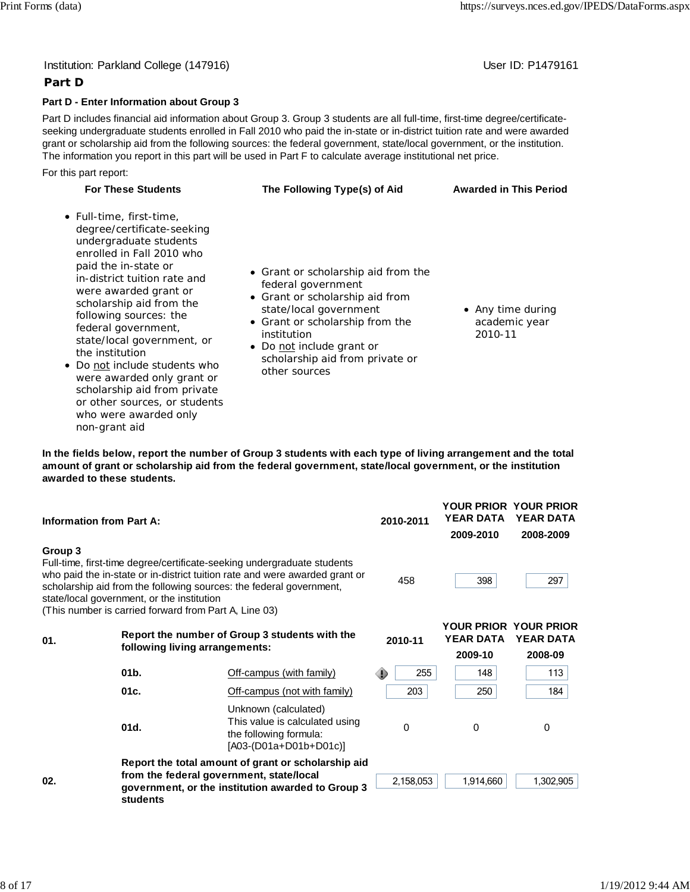### Institution: Parkland College (147916) November 2012 12: Physics User ID: P1479161

### **Part D**

#### **Part D - Enter Information about Group 3**

Part D includes financial aid information about Group 3. Group 3 students are all full-time, first-time degree/certificateseeking undergraduate students enrolled in Fall 2010 who paid the in-state or in-district tuition rate and were awarded grant or scholarship aid from the following sources: the federal government, state/local government, or the institution. The information you report in this part will be used in Part F to calculate average institutional net price.

For this part report:

| <b>For These Students</b>                                                                                                                                                                                                                                                                                                                                                                                                                                                                              | The Following Type(s) of Aid                                                                                                                                                                                                                            | <b>Awarded in This Period</b>                 |
|--------------------------------------------------------------------------------------------------------------------------------------------------------------------------------------------------------------------------------------------------------------------------------------------------------------------------------------------------------------------------------------------------------------------------------------------------------------------------------------------------------|---------------------------------------------------------------------------------------------------------------------------------------------------------------------------------------------------------------------------------------------------------|-----------------------------------------------|
| • Full-time, first-time,<br>degree/certificate-seeking<br>undergraduate students<br>enrolled in Fall 2010 who<br>paid the in-state or<br>in-district tuition rate and<br>were awarded grant or<br>scholarship aid from the<br>following sources: the<br>federal government,<br>state/local government, or<br>the institution<br>• Do not include students who<br>were awarded only grant or<br>scholarship aid from private<br>or other sources, or students<br>who were awarded only<br>non-grant aid | • Grant or scholarship aid from the<br>federal government<br>• Grant or scholarship aid from<br>state/local government<br>• Grant or scholarship from the<br>institution<br>Do not include grant or<br>scholarship aid from private or<br>other sources | • Any time during<br>academic year<br>2010-11 |

**In the fields below, report the number of Group 3 students with each type of living arrangement and the total amount of grant or scholarship aid from the federal government, state/local government, or the institution awarded to these students.**

| <b>Information from Part A:</b> |                                                                                                     |                                                                                                                                                                                                                               | 2010-2011 | <b>YOUR PRIOR YOUR PRIOR</b><br><b>YEAR DATA</b><br>2009-2010 | <b>YEAR DATA</b><br>2008-2009 |
|---------------------------------|-----------------------------------------------------------------------------------------------------|-------------------------------------------------------------------------------------------------------------------------------------------------------------------------------------------------------------------------------|-----------|---------------------------------------------------------------|-------------------------------|
| Group 3                         | state/local government, or the institution<br>(This number is carried forward from Part A, Line 03) | Full-time, first-time degree/certificate-seeking undergraduate students<br>who paid the in-state or in-district tuition rate and were awarded grant or<br>scholarship aid from the following sources: the federal government, | 458       | 398                                                           | 297                           |
| 01.                             | following living arrangements:                                                                      | Report the number of Group 3 students with the                                                                                                                                                                                | 2010-11   | <b>YOUR PRIOR YOUR PRIOR</b><br><b>YEAR DATA</b><br>2009-10   | <b>YEAR DATA</b><br>2008-09   |
|                                 | 01 <sub>b</sub>                                                                                     | Off-campus (with family)                                                                                                                                                                                                      | 255       | 148                                                           | 113                           |
|                                 | 01c.                                                                                                | Off-campus (not with family)                                                                                                                                                                                                  | 203       | 250                                                           | 184                           |
|                                 | 01d.                                                                                                | Unknown (calculated)<br>This value is calculated using<br>the following formula:<br>$[AO3-(D01a+D01b+D01c)]$                                                                                                                  | $\Omega$  | $\Omega$                                                      | 0                             |
| 02.                             | students                                                                                            | Report the total amount of grant or scholarship aid<br>from the federal government, state/local<br>government, or the institution awarded to Group 3                                                                          | 2,158,053 | 1,914,660                                                     | 1,302,905                     |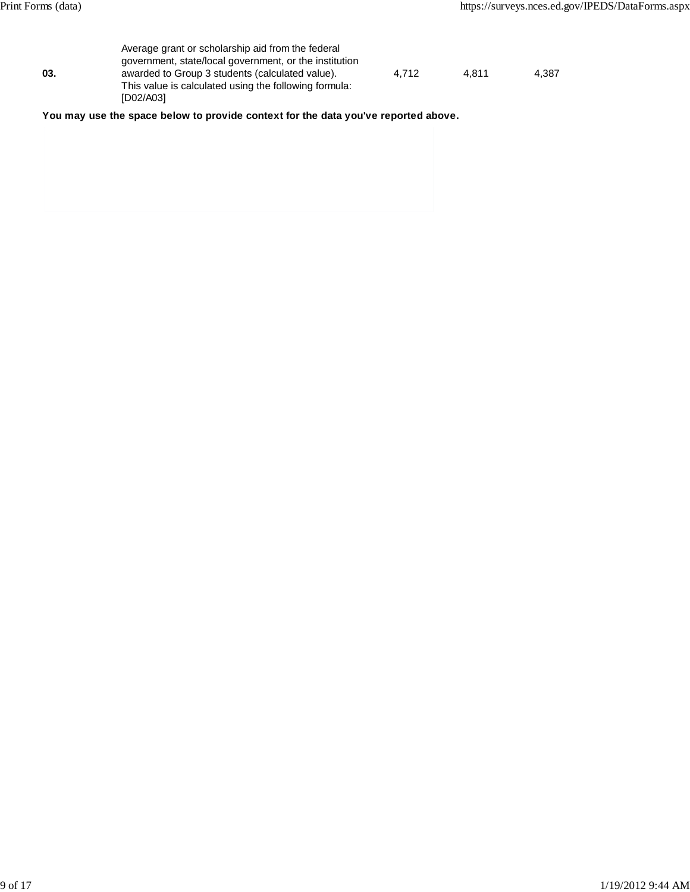|     | Average grant or scholarship aid from the federal      |       |       |       |
|-----|--------------------------------------------------------|-------|-------|-------|
|     | government, state/local government, or the institution |       |       |       |
| 03. | awarded to Group 3 students (calculated value).        | 4.712 | 4.811 | 4.387 |
|     | This value is calculated using the following formula:  |       |       |       |
|     | [D02/A03]                                              |       |       |       |

**You may use the space below to provide context for the data you've reported above.**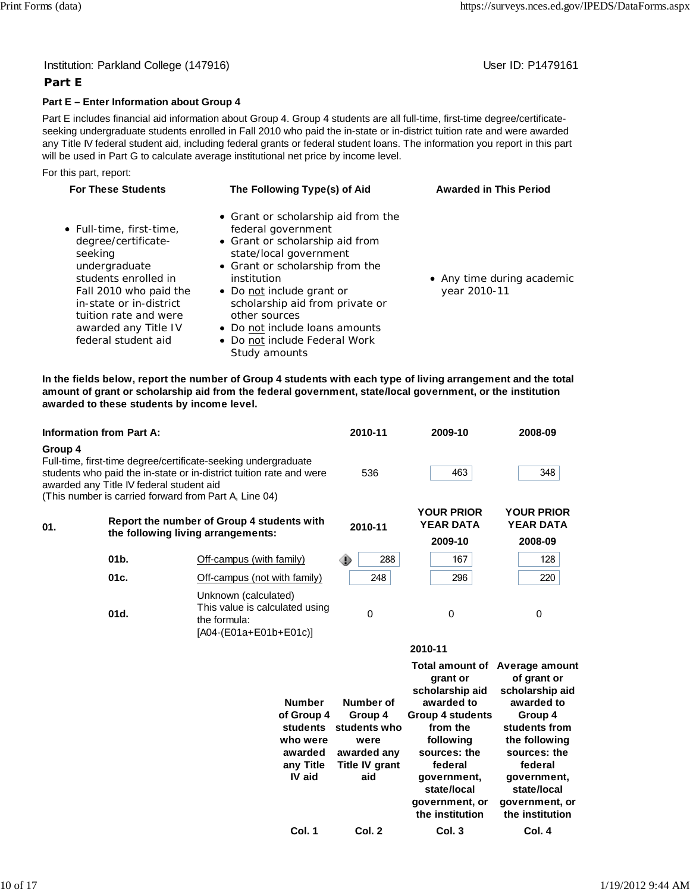#### Institution: Parkland College (147916) Noted that the User ID: P1479161

### **Part E**

#### **Part E – Enter Information about Group 4**

Part E includes financial aid information about Group 4. Group 4 students are all full-time, first-time degree/certificateseeking undergraduate students enrolled in Fall 2010 who paid the in-state or in-district tuition rate and were awarded any Title IV federal student aid, including federal grants or federal student loans. The information you report in this part will be used in Part G to calculate average institutional net price by income level.

For this part, report:

| <b>For These Students</b>                                                                                                                                                                                                        | The Following Type(s) of Aid                                                                                                                                                                                                                                                                                                                  | <b>Awarded in This Period</b>              |
|----------------------------------------------------------------------------------------------------------------------------------------------------------------------------------------------------------------------------------|-----------------------------------------------------------------------------------------------------------------------------------------------------------------------------------------------------------------------------------------------------------------------------------------------------------------------------------------------|--------------------------------------------|
| • Full-time, first-time,<br>degree/certificate-<br>seeking<br>undergraduate<br>students enrolled in<br>Fall 2010 who paid the<br>in-state or in-district<br>tuition rate and were<br>awarded any Title IV<br>federal student aid | • Grant or scholarship aid from the<br>federal government<br>• Grant or scholarship aid from<br>state/local government<br>• Grant or scholarship from the<br>institution<br>• Do not include grant or<br>scholarship aid from private or<br>other sources<br>• Do not include loans amounts<br>• Do not include Federal Work<br>Study amounts | • Any time during academic<br>year 2010-11 |

**In the fields below, report the number of Group 4 students with each type of living arrangement and the total amount of grant or scholarship aid from the federal government, state/local government, or the institution awarded to these students by income level.**

| <b>Information from Part A:</b> |                                                                                                   |                                                                                                                                       |                                                                                              | 2010-11                                                                                     | 2009-10                                                                                                                                                                                                                       | 2008-09                                                                                                                                                                                 |
|---------------------------------|---------------------------------------------------------------------------------------------------|---------------------------------------------------------------------------------------------------------------------------------------|----------------------------------------------------------------------------------------------|---------------------------------------------------------------------------------------------|-------------------------------------------------------------------------------------------------------------------------------------------------------------------------------------------------------------------------------|-----------------------------------------------------------------------------------------------------------------------------------------------------------------------------------------|
| Group 4                         | awarded any Title IV federal student aid<br>(This number is carried forward from Part A, Line 04) | Full-time, first-time degree/certificate-seeking undergraduate<br>students who paid the in-state or in-district tuition rate and were |                                                                                              | 536                                                                                         | 463                                                                                                                                                                                                                           | 348                                                                                                                                                                                     |
| 01.                             | the following living arrangements:                                                                | Report the number of Group 4 students with                                                                                            |                                                                                              | 2010-11                                                                                     | <b>YOUR PRIOR</b><br><b>YEAR DATA</b><br>2009-10                                                                                                                                                                              | <b>YOUR PRIOR</b><br><b>YEAR DATA</b><br>2008-09                                                                                                                                        |
|                                 | 01b.                                                                                              | Off-campus (with family)                                                                                                              |                                                                                              | 288<br>⊕                                                                                    | 167                                                                                                                                                                                                                           | 128                                                                                                                                                                                     |
|                                 | 01c.                                                                                              | Off-campus (not with family)                                                                                                          |                                                                                              | 248                                                                                         | 296                                                                                                                                                                                                                           | 220                                                                                                                                                                                     |
|                                 | 01d.                                                                                              | Unknown (calculated)<br>This value is calculated using<br>the formula:<br>$[AO4-(E01a+E01b+E01c)]$                                    |                                                                                              | 0                                                                                           | 0                                                                                                                                                                                                                             | 0                                                                                                                                                                                       |
|                                 |                                                                                                   |                                                                                                                                       |                                                                                              |                                                                                             | 2010-11                                                                                                                                                                                                                       |                                                                                                                                                                                         |
|                                 |                                                                                                   |                                                                                                                                       | <b>Number</b><br>of Group 4<br><b>students</b><br>who were<br>awarded<br>any Title<br>IV aid | Number of<br>Group 4<br>students who<br>were<br>awarded any<br><b>Title IV grant</b><br>aid | Total amount of Average amount<br>grant or<br>scholarship aid<br>awarded to<br><b>Group 4 students</b><br>from the<br>following<br>sources: the<br>federal<br>government,<br>state/local<br>government, or<br>the institution | of grant or<br>scholarship aid<br>awarded to<br>Group 4<br>students from<br>the following<br>sources: the<br>federal<br>government,<br>state/local<br>government, or<br>the institution |
|                                 |                                                                                                   |                                                                                                                                       | Col. 1                                                                                       | Col. 2                                                                                      | Col. 3                                                                                                                                                                                                                        | Col. 4                                                                                                                                                                                  |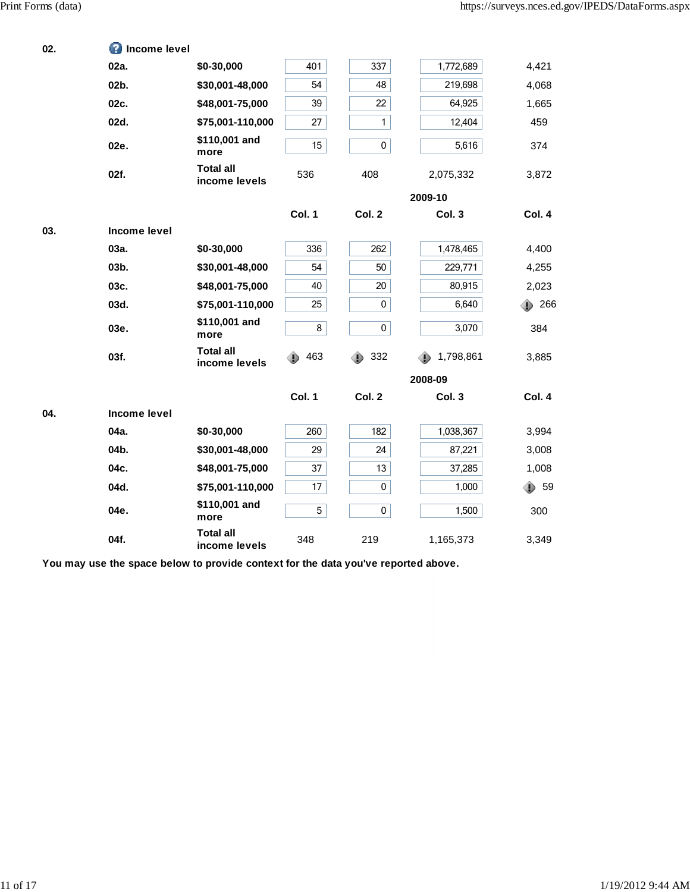| 02. | <b>O</b> Income level |                                   |                  |              |                |               |
|-----|-----------------------|-----------------------------------|------------------|--------------|----------------|---------------|
|     | 02a.                  | \$0-30,000                        | 401              | 337          | 1,772,689      | 4,421         |
|     | 02b.                  | \$30,001-48,000                   | 54               | 48           | 219,698        | 4,068         |
|     | 02c.                  | \$48,001-75,000                   | 39               | 22           | 64,925         | 1,665         |
|     | 02d.                  | \$75,001-110,000                  | 27               | $\mathbf{1}$ | 12,404         | 459           |
|     | 02e.                  | \$110,001 and<br>more             | 15 <sub>15</sub> | $\pmb{0}$    | 5,616          | 374           |
|     | 02f.                  | <b>Total all</b><br>income levels | 536              | 408          | 2,075,332      | 3,872         |
|     |                       |                                   |                  |              | 2009-10        |               |
|     |                       |                                   | Col. 1           | Col. 2       | Col. 3         | Col. 4        |
| 03. | Income level          |                                   |                  |              |                |               |
|     | 03a.                  | \$0-30,000                        | 336              | 262          | 1,478,465      | 4,400         |
|     | 03b.                  | \$30,001-48,000                   | 54               | 50           | 229,771        | 4,255         |
|     | 03c.                  | \$48,001-75,000                   | 40               | 20           | 80,915         | 2,023         |
|     | 03d.                  | \$75,001-110,000                  | 25               | 0            | 6,640          | $\bullet$ 266 |
|     | 03e.                  | \$110,001 and<br>more             | 8                | $\mathbf 0$  | 3,070          | 384           |
|     | 03f.                  | <b>Total all</b><br>income levels | 463<br>Ð         | 332<br>⊕     | 1,798,861<br>⊕ | 3,885         |
|     |                       |                                   |                  |              | 2008-09        |               |
|     |                       |                                   | Col. 1           | Col. 2       | Col. 3         | Col. 4        |
| 04. | Income level          |                                   |                  |              |                |               |
|     | 04a.                  | \$0-30,000                        | 260              | 182          | 1,038,367      | 3,994         |
|     | 04b.                  | \$30,001-48,000                   | 29               | 24           | 87,221         | 3,008         |
|     | 04c.                  | \$48,001-75,000                   | 37               | 13           | 37,285         | 1,008         |
|     | 04d.                  | \$75,001-110,000                  | 17               | $\mathbf 0$  | 1,000          | 59<br>D.      |
|     | 04e.                  | \$110,001 and<br>more             | 5                | 0            | 1,500          | 300           |
|     | 04f.                  | <b>Total all</b><br>income levels | 348              | 219          | 1,165,373      | 3,349         |

**You may use the space below to provide context for the data you've reported above.**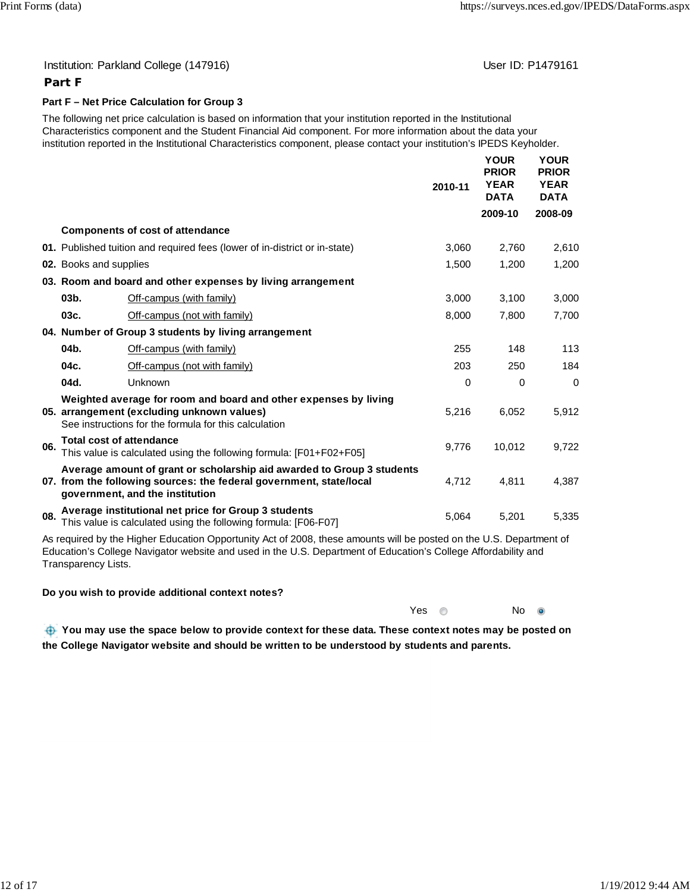#### Institution: Parkland College (147916) November 2012 12: Physics User ID: P1479161

# **Part F**

### **Part F – Net Price Calculation for Group 3**

The following net price calculation is based on information that your institution reported in the Institutional Characteristics component and the Student Financial Aid component. For more information about the data your institution reported in the Institutional Characteristics component, please contact your institution's IPEDS Keyholder.

|     |                                 |                                                                                                                                                                                  | 2010-11  | <b>YOUR</b><br><b>PRIOR</b><br><b>YEAR</b><br><b>DATA</b> | <b>YOUR</b><br><b>PRIOR</b><br><b>YEAR</b><br><b>DATA</b> |
|-----|---------------------------------|----------------------------------------------------------------------------------------------------------------------------------------------------------------------------------|----------|-----------------------------------------------------------|-----------------------------------------------------------|
|     |                                 |                                                                                                                                                                                  |          | 2009-10                                                   | 2008-09                                                   |
|     |                                 | <b>Components of cost of attendance</b>                                                                                                                                          |          |                                                           |                                                           |
|     |                                 | 01. Published tuition and required fees (lower of in-district or in-state)                                                                                                       | 3,060    | 2,760                                                     | 2,610                                                     |
|     | 02. Books and supplies          |                                                                                                                                                                                  | 1,500    | 1,200                                                     | 1,200                                                     |
|     |                                 | 03. Room and board and other expenses by living arrangement                                                                                                                      |          |                                                           |                                                           |
|     | 03 <sub>b</sub>                 | Off-campus (with family)                                                                                                                                                         | 3,000    | 3,100                                                     | 3,000                                                     |
|     | 03c.                            | Off-campus (not with family)                                                                                                                                                     | 8,000    | 7,800                                                     | 7,700                                                     |
|     |                                 | 04. Number of Group 3 students by living arrangement                                                                                                                             |          |                                                           |                                                           |
|     | 04b.                            | Off-campus (with family)                                                                                                                                                         | 255      | 148                                                       | 113                                                       |
|     | 04c.                            | Off-campus (not with family)                                                                                                                                                     | 203      | 250                                                       | 184                                                       |
|     | 04d.                            | Unknown                                                                                                                                                                          | $\Omega$ | $\mathbf 0$                                               | $\Omega$                                                  |
|     |                                 | Weighted average for room and board and other expenses by living<br>05. arrangement (excluding unknown values)<br>See instructions for the formula for this calculation          | 5,216    | 6,052                                                     | 5,912                                                     |
| 06. | <b>Total cost of attendance</b> | This value is calculated using the following formula: [F01+F02+F05]                                                                                                              | 9,776    | 10,012                                                    | 9,722                                                     |
|     |                                 | Average amount of grant or scholarship aid awarded to Group 3 students<br>07. from the following sources: the federal government, state/local<br>government, and the institution | 4,712    | 4,811                                                     | 4,387                                                     |
| 08. |                                 | Average institutional net price for Group 3 students<br>This value is calculated using the following formula: [F06-F07]                                                          | 5,064    | 5,201                                                     | 5,335                                                     |

As required by the Higher Education Opportunity Act of 2008, these amounts will be posted on the U.S. Department of Education's College Navigator website and used in the U.S. Department of Education's College Affordability and Transparency Lists.

#### **Do you wish to provide additional context notes?**

| $\bullet$ |
|-----------|
| No        |

 **You may use the space below to provide context for these data. These context notes may be posted on the College Navigator website and should be written to be understood by students and parents.**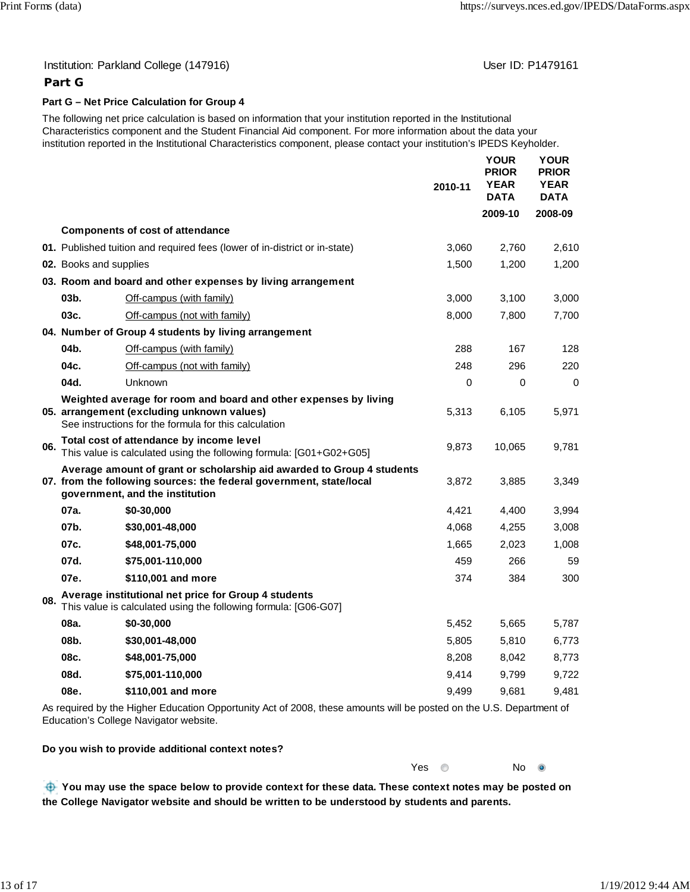#### Institution: Parkland College (147916) November 2012 12: Physics User ID: P1479161

#### **Part G**

#### **Part G – Net Price Calculation for Group 4**

The following net price calculation is based on information that your institution reported in the Institutional Characteristics component and the Student Financial Aid component. For more information about the data your institution reported in the Institutional Characteristics component, please contact your institution's IPEDS Keyholder.

|     |                        |                                                                                                                                                                                  | 2010-11  | <b>YOUR</b><br><b>PRIOR</b><br><b>YEAR</b><br><b>DATA</b> | <b>YOUR</b><br><b>PRIOR</b><br><b>YEAR</b><br><b>DATA</b> |
|-----|------------------------|----------------------------------------------------------------------------------------------------------------------------------------------------------------------------------|----------|-----------------------------------------------------------|-----------------------------------------------------------|
|     |                        |                                                                                                                                                                                  |          | 2009-10                                                   | 2008-09                                                   |
|     |                        | <b>Components of cost of attendance</b>                                                                                                                                          |          |                                                           |                                                           |
|     |                        | 01. Published tuition and required fees (lower of in-district or in-state)                                                                                                       | 3,060    | 2,760                                                     | 2,610                                                     |
|     | 02. Books and supplies |                                                                                                                                                                                  | 1,500    | 1,200                                                     | 1,200                                                     |
|     |                        | 03. Room and board and other expenses by living arrangement                                                                                                                      |          |                                                           |                                                           |
|     | $03b$ .                | Off-campus (with family)                                                                                                                                                         | 3,000    | 3,100                                                     | 3,000                                                     |
|     | 03c.                   | Off-campus (not with family)                                                                                                                                                     | 8,000    | 7,800                                                     | 7,700                                                     |
|     |                        | 04. Number of Group 4 students by living arrangement                                                                                                                             |          |                                                           |                                                           |
|     | 04b.                   | Off-campus (with family)                                                                                                                                                         | 288      | 167                                                       | 128                                                       |
|     | 04c.                   | Off-campus (not with family)                                                                                                                                                     | 248      | 296                                                       | 220                                                       |
|     | 04d.                   | Unknown                                                                                                                                                                          | $\Omega$ | $\Omega$                                                  | $\Omega$                                                  |
|     |                        | Weighted average for room and board and other expenses by living<br>05. arrangement (excluding unknown values)<br>See instructions for the formula for this calculation          | 5,313    | 6,105                                                     | 5,971                                                     |
| 06. |                        | Total cost of attendance by income level<br>This value is calculated using the following formula: [G01+G02+G05]                                                                  | 9,873    | 10,065                                                    | 9,781                                                     |
|     |                        | Average amount of grant or scholarship aid awarded to Group 4 students<br>07. from the following sources: the federal government, state/local<br>government, and the institution | 3,872    | 3,885                                                     | 3,349                                                     |
|     | 07a.                   | \$0-30,000                                                                                                                                                                       | 4,421    | 4,400                                                     | 3,994                                                     |
|     | 07b.                   | \$30,001-48,000                                                                                                                                                                  | 4,068    | 4,255                                                     | 3,008                                                     |
|     | 07c.                   | \$48,001-75,000                                                                                                                                                                  | 1,665    | 2,023                                                     | 1,008                                                     |
|     | 07d.                   | \$75,001-110,000                                                                                                                                                                 | 459      | 266                                                       | 59                                                        |
|     | 07e.                   | \$110,001 and more                                                                                                                                                               | 374      | 384                                                       | 300                                                       |
| 08. |                        | Average institutional net price for Group 4 students<br>This value is calculated using the following formula: [G06-G07]                                                          |          |                                                           |                                                           |
|     | 08a.                   | \$0-30,000                                                                                                                                                                       | 5,452    | 5,665                                                     | 5,787                                                     |
|     | 08b.                   | \$30,001-48,000                                                                                                                                                                  | 5,805    | 5,810                                                     | 6,773                                                     |
|     | 08c.                   | \$48,001-75,000                                                                                                                                                                  | 8,208    | 8,042                                                     | 8,773                                                     |
|     | 08d.                   | \$75,001-110,000                                                                                                                                                                 | 9,414    | 9,799                                                     | 9,722                                                     |
|     | 08e.                   | \$110,001 and more                                                                                                                                                               | 9,499    | 9,681                                                     | 9,481                                                     |
|     |                        |                                                                                                                                                                                  |          |                                                           |                                                           |

As required by the Higher Education Opportunity Act of 2008, these amounts will be posted on the U.S. Department of Education's College Navigator website.

#### **Do you wish to provide additional context notes?**

 **You may use the space below to provide context for these data. These context notes may be posted on the College Navigator website and should be written to be understood by students and parents.**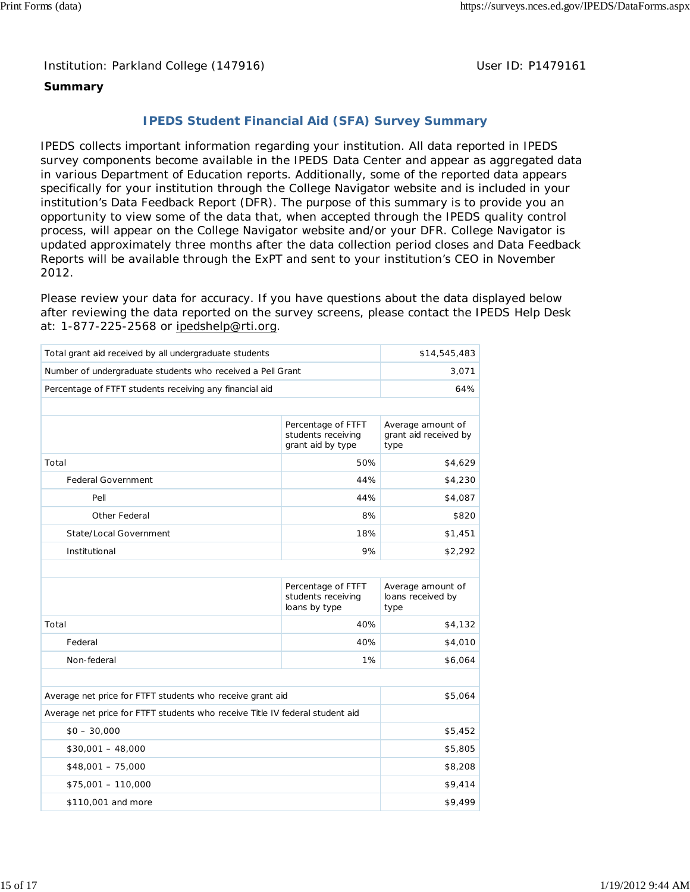Institution: Parkland College (147916) Noting the Muslim User ID: P1479161

# **Summary**

# **IPEDS Student Financial Aid (SFA) Survey Summary**

IPEDS collects important information regarding your institution. All data reported in IPEDS survey components become available in the IPEDS Data Center and appear as aggregated data in various Department of Education reports. Additionally, some of the reported data appears specifically for your institution through the College Navigator website and is included in your institution's Data Feedback Report (DFR). The purpose of this summary is to provide you an opportunity to view some of the data that, when accepted through the IPEDS quality control process, will appear on the College Navigator website and/or your DFR. College Navigator is updated approximately three months after the data collection period closes and Data Feedback Reports will be available through the ExPT and sent to your institution's CEO in November 2012.

Please review your data for accuracy. If you have questions about the data displayed below after reviewing the data reported on the survey screens, please contact the IPEDS Help Desk at: 1-877-225-2568 or ipedshelp@rti.org.

| Total grant aid received by all undergraduate students                       | \$14,545,483                                                  |                                                    |  |
|------------------------------------------------------------------------------|---------------------------------------------------------------|----------------------------------------------------|--|
| Number of undergraduate students who received a Pell Grant                   | 3,071                                                         |                                                    |  |
| Percentage of FTFT students receiving any financial aid                      |                                                               | 64%                                                |  |
|                                                                              |                                                               |                                                    |  |
|                                                                              | Percentage of FTFT<br>students receiving<br>grant aid by type | Average amount of<br>grant aid received by<br>type |  |
| Total                                                                        | 50%                                                           | \$4,629                                            |  |
| <b>Federal Government</b>                                                    | 44%                                                           | \$4,230                                            |  |
| Pell                                                                         | 44%                                                           | \$4,087                                            |  |
| Other Federal                                                                | 8%                                                            | \$820                                              |  |
| State/Local Government                                                       | 18%                                                           | \$1,451                                            |  |
| Institutional                                                                | 9%                                                            | \$2,292                                            |  |
|                                                                              |                                                               |                                                    |  |
|                                                                              | Percentage of FTFT<br>students receiving<br>loans by type     | Average amount of<br>loans received by<br>type     |  |
| Total                                                                        | 40%                                                           | \$4,132                                            |  |
| Federal                                                                      | 40%                                                           | \$4,010                                            |  |
| Non-federal                                                                  | 1%                                                            | \$6,064                                            |  |
|                                                                              |                                                               |                                                    |  |
| Average net price for FTFT students who receive grant aid                    |                                                               | \$5,064                                            |  |
| Average net price for FTFT students who receive Title IV federal student aid |                                                               |                                                    |  |
| $$0 - 30,000$                                                                |                                                               | \$5,452                                            |  |
| $$30,001 - 48,000$                                                           | \$5,805                                                       |                                                    |  |
| $$48,001 - 75,000$                                                           |                                                               | \$8,208                                            |  |
| $$75,001 - 110,000$                                                          |                                                               |                                                    |  |
|                                                                              |                                                               |                                                    |  |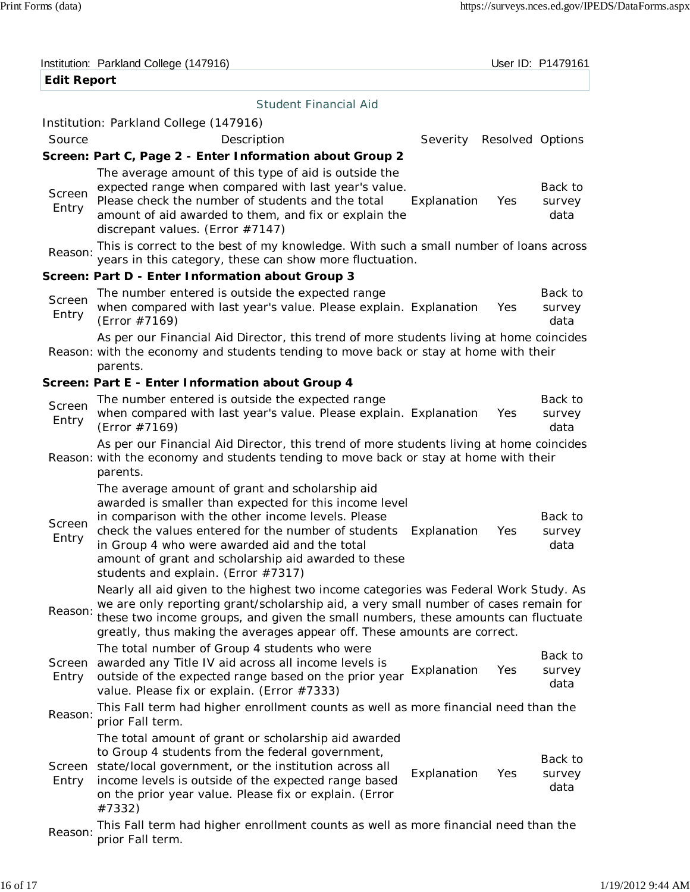|                    | Institution: Parkland College (147916)                                                                                                                                                                                                                                                                                                                                             |                           |     | User ID: P1479161         |
|--------------------|------------------------------------------------------------------------------------------------------------------------------------------------------------------------------------------------------------------------------------------------------------------------------------------------------------------------------------------------------------------------------------|---------------------------|-----|---------------------------|
| <b>Edit Report</b> |                                                                                                                                                                                                                                                                                                                                                                                    |                           |     |                           |
|                    | <b>Student Financial Aid</b>                                                                                                                                                                                                                                                                                                                                                       |                           |     |                           |
|                    | Institution: Parkland College (147916)                                                                                                                                                                                                                                                                                                                                             |                           |     |                           |
| Source             | Description                                                                                                                                                                                                                                                                                                                                                                        | Severity Resolved Options |     |                           |
|                    | Screen: Part C, Page 2 - Enter Information about Group 2                                                                                                                                                                                                                                                                                                                           |                           |     |                           |
| Screen<br>Entry    | The average amount of this type of aid is outside the<br>expected range when compared with last year's value.<br>Please check the number of students and the total<br>amount of aid awarded to them, and fix or explain the<br>discrepant values. (Error #7147)                                                                                                                    | Explanation               | Yes | Back to<br>survey<br>data |
| Reason:            | This is correct to the best of my knowledge. With such a small number of loans across<br>years in this category, these can show more fluctuation.                                                                                                                                                                                                                                  |                           |     |                           |
|                    | Screen: Part D - Enter Information about Group 3                                                                                                                                                                                                                                                                                                                                   |                           |     |                           |
| Screen<br>Entry    | The number entered is outside the expected range<br>when compared with last year's value. Please explain. Explanation<br>(Error #7169)                                                                                                                                                                                                                                             |                           | Yes | Back to<br>survey<br>data |
|                    | As per our Financial Aid Director, this trend of more students living at home coincides<br>Reason: with the economy and students tending to move back or stay at home with their<br>parents.                                                                                                                                                                                       |                           |     |                           |
|                    | Screen: Part E - Enter Information about Group 4                                                                                                                                                                                                                                                                                                                                   |                           |     |                           |
| Screen<br>Entry    | The number entered is outside the expected range<br>when compared with last year's value. Please explain. Explanation<br>(Error #7169)                                                                                                                                                                                                                                             |                           | Yes | Back to<br>survey<br>data |
|                    | As per our Financial Aid Director, this trend of more students living at home coincides<br>Reason: with the economy and students tending to move back or stay at home with their<br>parents.                                                                                                                                                                                       |                           |     |                           |
| Screen<br>Entry    | The average amount of grant and scholarship aid<br>awarded is smaller than expected for this income level<br>in comparison with the other income levels. Please<br>check the values entered for the number of students Explanation<br>in Group 4 who were awarded aid and the total<br>amount of grant and scholarship aid awarded to these<br>students and explain. (Error #7317) |                           | Yes | Back to<br>survey<br>data |
| Reason:            | Nearly all aid given to the highest two income categories was Federal Work Study. As<br>we are only reporting grant/scholarship aid, a very small number of cases remain for<br>these two income groups, and given the small numbers, these amounts can fluctuate<br>greatly, thus making the averages appear off. These amounts are correct.                                      |                           |     |                           |
| Screen<br>Entry    | The total number of Group 4 students who were<br>awarded any Title IV aid across all income levels is<br>outside of the expected range based on the prior year<br>value. Please fix or explain. (Error #7333)                                                                                                                                                                      | Explanation               | Yes | Back to<br>survey<br>data |
| Reason:            | This Fall term had higher enrollment counts as well as more financial need than the<br>prior Fall term.                                                                                                                                                                                                                                                                            |                           |     |                           |
| Screen<br>Entry    | The total amount of grant or scholarship aid awarded<br>to Group 4 students from the federal government,<br>state/local government, or the institution across all<br>income levels is outside of the expected range based<br>on the prior year value. Please fix or explain. (Error<br>#7332)                                                                                      | Explanation               | Yes | Back to<br>survey<br>data |
| Reason:            | This Fall term had higher enrollment counts as well as more financial need than the<br>prior Fall term.                                                                                                                                                                                                                                                                            |                           |     |                           |